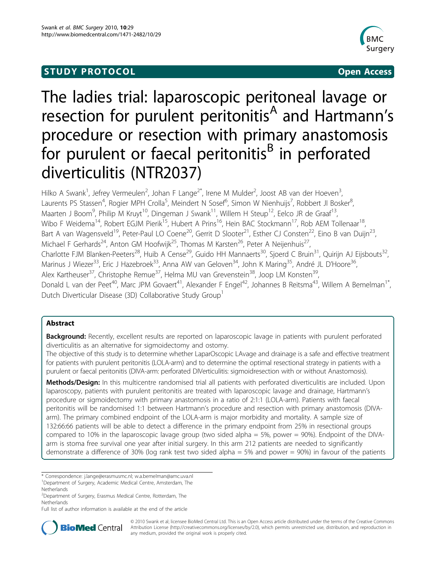## **STUDY PROTOCOL** CONTROL CONTROL CONTROL CONTROL CONTROL CONTROL CONTROL CONTROL CONTROL CONTROL CONTROL CONTROL CONTROL CONTROL CONTROL CONTROL CONTROL CONTROL CONTROL CONTROL CONTROL CONTROL CONTROL CONTROL CONTROL CONTR



# The ladies trial: laparoscopic peritoneal lavage or resection for purulent peritonitis<sup>A</sup> and Hartmann's procedure or resection with primary anastomosis for purulent or faecal peritonitis<sup>B</sup> in perforated diverticulitis (NTR2037)

Hilko A Swank<sup>1</sup>, Jefrey Vermeulen<sup>2</sup>, Johan F Lange<sup>2\*</sup>, Irene M Mulder<sup>2</sup>, Joost AB van der Hoeven<sup>3</sup> , Laurents PS Stassen<sup>4</sup>, Rogier MPH Crolla<sup>5</sup>, Meindert N Sosef<sup>6</sup>, Simon W Nienhuijs<sup>7</sup>, Robbert JI Bosker<sup>8</sup> , Maarten J Boom<sup>9</sup>, Philip M Kruyt<sup>10</sup>, Dingeman J Swank<sup>11</sup>, Willem H Steup<sup>12</sup>, Eelco JR de Graaf<sup>13</sup>, Wibo F Weidema<sup>14</sup>, Robert EGJM Pierik<sup>15</sup>, Hubert A Prins<sup>16</sup>, Hein BAC Stockmann<sup>17</sup>, Rob AEM Tollenaar<sup>18</sup>, Bart A van Wagensveld<sup>19</sup>, Peter-Paul LO Coene<sup>20</sup>, Gerrit D Slooter<sup>21</sup>, Esther CJ Consten<sup>22</sup>, Eino B van Duijn<sup>23</sup>, Michael F Gerhards<sup>24</sup>, Anton GM Hoofwijk<sup>25</sup>, Thomas M Karsten<sup>26</sup>, Peter A Neijenhuis<sup>27</sup>, Charlotte FJM Blanken-Peeters<sup>28</sup>, Huib A Cense<sup>29</sup>, Guido HH Mannaerts<sup>30</sup>, Sjoerd C Bruin<sup>31</sup>, Quirijn AJ Eijsbouts<sup>32</sup>, Marinus J Wiezer<sup>33</sup>, Eric J Hazebroek<sup>33</sup>, Anna AW van Geloven<sup>34</sup>, John K Maring<sup>35</sup>, André JL D'Hoore<sup>36</sup>, Alex Kartheuser<sup>37</sup>, Christophe Remue<sup>37</sup>, Helma MU van Grevenstein<sup>38</sup>, Joop LM Konsten<sup>39</sup>, Donald L van der Peet<sup>40</sup>, Marc JPM Govaert<sup>41</sup>, Alexander F Engel<sup>42</sup>, Johannes B Reitsma<sup>43</sup>, Willem A Bemelman<sup>1\*</sup>, Dutch Diverticular Disease (3D) Collaborative Study Group<sup>1</sup>

## Abstract

Background: Recently, excellent results are reported on laparoscopic lavage in patients with purulent perforated diverticulitis as an alternative for sigmoidectomy and ostomy.

The objective of this study is to determine whether LaparOscopic LAvage and drainage is a safe and effective treatment for patients with purulent peritonitis (LOLA-arm) and to determine the optimal resectional strategy in patients with a purulent or faecal peritonitis (DIVA-arm: perforated DIVerticulitis: sigmoidresection with or without Anastomosis).

Methods/Design: In this multicentre randomised trial all patients with perforated diverticulitis are included. Upon laparoscopy, patients with purulent peritonitis are treated with laparoscopic lavage and drainage, Hartmann's procedure or sigmoidectomy with primary anastomosis in a ratio of 2:1:1 (LOLA-arm). Patients with faecal peritonitis will be randomised 1:1 between Hartmann's procedure and resection with primary anastomosis (DIVAarm). The primary combined endpoint of the LOLA-arm is major morbidity and mortality. A sample size of 132:66:66 patients will be able to detect a difference in the primary endpoint from 25% in resectional groups compared to 10% in the laparoscopic lavage group (two sided alpha  $=$  5%, power  $=$  90%). Endpoint of the DIVAarm is stoma free survival one year after initial surgery. In this arm 212 patients are needed to significantly demonstrate a difference of 30% (log rank test two sided alpha = 5% and power = 90%) in favour of the patients

\* Correspondence: [j.lange@erasmusmc.nl](mailto:j.lange@erasmusmc.nl); [w.a.bemelman@amc.uva.nl](mailto:w.a.bemelman@amc.uva.nl) <sup>1</sup>Department of Surgery, Academic Medical Centre, Amsterdam, The Netherlands

<sup>2</sup>Department of Surgery, Erasmus Medical Centre, Rotterdam, The Netherlands

Full list of author information is available at the end of the article



© 2010 Swank et al; licensee BioMed Central Ltd. This is an Open Access article distributed under the terms of the Creative Commons Attribution License [\(http://creativecommons.org/licenses/by/2.0](http://creativecommons.org/licenses/by/2.0)), which permits unrestricted use, distribution, and reproduction in any medium, provided the original work is properly cited.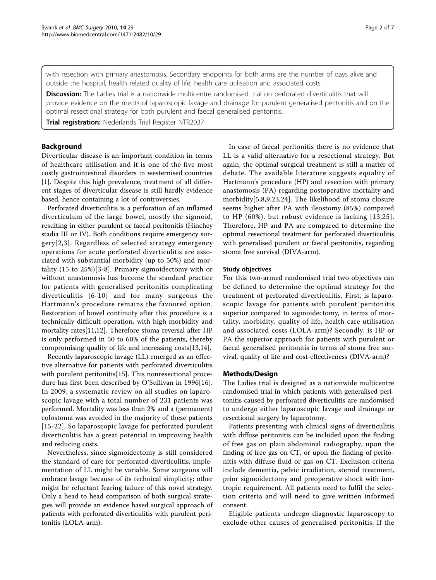with resection with primary anastomosis. Secondary endpoints for both arms are the number of days alive and outside the hospital, health related quality of life, health care utilisation and associated costs.

Discussion: The Ladies trial is a nationwide multicentre randomised trial on perforated diverticulitis that will provide evidence on the merits of laparoscopic lavage and drainage for purulent generalised peritonitis and on the optimal resectional strategy for both purulent and faecal generalised peritonitis.

Trial registration: Nederlands Trial Register NTR2037

## **Background**

Diverticular disease is an important condition in terms of healthcare utilisation and it is one of the five most costly gastrointestinal disorders in westernised countries [[1\]](#page-5-0). Despite this high prevalence, treatment of all different stages of diverticular disease is still hardly evidence based, hence containing a lot of controversies.

Perforated diverticulitis is a perforation of an inflamed diverticulum of the large bowel, mostly the sigmoid, resulting in either purulent or faecal peritonitis (Hinchey stadia III or IV). Both conditions require emergency surgery[[2](#page-5-0),[3](#page-5-0)]. Regardless of selected strategy emergency operations for acute perforated diverticulitis are associated with substantial morbidity (up to 50%) and mortality (15 to 25%)[[3-8](#page-5-0)]. Primary sigmoidectomy with or without anastomosis has become the standard practice for patients with generalised peritonitis complicating diverticulitis [[6-10](#page-5-0)] and for many surgeons the Hartmann's procedure remains the favoured option. Restoration of bowel continuity after this procedure is a technically difficult operation, with high morbidity and mortality rates[[11](#page-5-0),[12](#page-5-0)]. Therefore stoma reversal after HP is only performed in 50 to 60% of the patients, thereby compromising quality of life and increasing costs[[13,14](#page-5-0)].

Recently laparoscopic lavage (LL) emerged as an effective alternative for patients with perforated diverticulitis with purulent peritonitis[\[15](#page-5-0)]. This nonresectional procedure has first been described by O'Sullivan in 1996[[16](#page-5-0)]. In 2009, a systematic review on all studies on laparoscopic lavage with a total number of 231 patients was performed. Mortality was less than 2% and a (permanent) colostoma was avoided in the majority of these patients [[15](#page-5-0)-[22](#page-6-0)]. So laparoscopic lavage for perforated purulent diverticulitis has a great potential in improving health and reducing costs.

Nevertheless, since sigmoidectomy is still considered the standard of care for perforated diverticulitis, implementation of LL might be variable. Some surgeons will embrace lavage because of its technical simplicity; other might be reluctant fearing failure of this novel strategy. Only a head to head comparison of both surgical strategies will provide an evidence based surgical approach of patients with perforated diverticulitis with purulent peritonitis (LOLA-arm).

In case of faecal peritonitis there is no evidence that LL is a valid alternative for a resectional strategy. But again, the optimal surgical treatment is still a matter of debate. The available literature suggests equality of Hartmann's procedure (HP) and resection with primary anastomosis (PA) regarding postoperative mortality and morbidity[\[5](#page-5-0),[8,9](#page-5-0)[,23](#page-6-0),[24\]](#page-6-0). The likelihood of stoma closure seems higher after PA with ileostomy (85%) compared to HP (60%), but robust evidence is lacking [[13,](#page-5-0)[25\]](#page-6-0). Therefore, HP and PA are compared to determine the optimal resectional treatment for perforated diverticulitis with generalised purulent or faecal peritonitis, regarding stoma free survival (DIVA-arm).

## Study objectives

For this two-armed randomised trial two objectives can be defined to determine the optimal strategy for the treatment of perforated diverticulitis. First, is laparoscopic lavage for patients with purulent peritonitis superior compared to sigmoidectomy, in terms of mortality, morbidity, quality of life, health care utilisation and associated costs (LOLA-arm)? Secondly, is HP or PA the superior approach for patients with purulent or faecal generalised peritonitis in terms of stoma free survival, quality of life and cost-effectiveness (DIVA-arm)?

#### Methods/Design

The Ladies trial is designed as a nationwide multicentre randomised trial in which patients with generalised peritonitis caused by perforated diverticulitis are randomised to undergo either laparoscopic lavage and drainage or resectional surgery by laparotomy.

Patients presenting with clinical signs of diverticulitis with diffuse peritonitis can be included upon the finding of free gas on plain abdominal radiography, upon the finding of free gas on CT, or upon the finding of peritonitis with diffuse fluid or gas on CT. Exclusion criteria include dementia, pelvic irradiation, steroid treatment, prior sigmoidectomy and preoperative shock with inotropic requirement. All patients need to fulfil the selection criteria and will need to give written informed consent.

Eligible patients undergo diagnostic laparoscopy to exclude other causes of generalised peritonitis. If the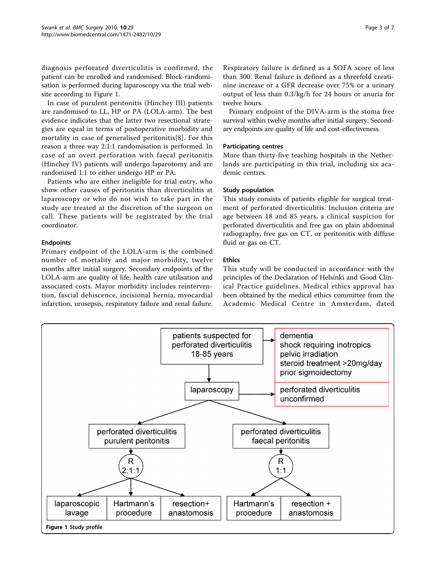diagnosis perforated diverticulitis is confirmed, the patient can be enrolled and randomised. Block-randomisation is performed during laparoscopy via the trial website according to Figure 1.

In case of purulent peritonitis (Hinchey III) patients are randomised to LL, HP or PA (LOLA-arm). The best evidence indicates that the latter two resectional strategies are equal in terms of postoperative morbidity and mortality in case of generalised peritonitis[[8\]](#page-5-0). For this reason a three way 2:1:1 randomisation is performed. In case of an overt perforation with faecal peritonitis (Hinchey IV) patients will undergo laparotomy and are randomised 1:1 to either undergo HP or PA.

Patients who are either ineligible for trial entry, who show other causes of peritonitis than diverticulitis at laparoscopy or who do not wish to take part in the study are treated at the discretion of the surgeon on call. These patients will be registrated by the trial coordinator.

## Endpoints

Primary endpoint of the LOLA-arm is the combined number of mortality and major morbidity, twelve months after initial surgery. Secondary endpoints of the LOLA-arm are quality of life, health care utilisation and associated costs. Mayor morbidity includes reintervention, fascial dehiscence, incisional hernia, myocardial infarction, urosepsis, respiratory failure and renal failure.

output of less than 0.3/kg/h for 24 hours or anuria for twelve hours. Primary endpoint of the DIVA-arm is the stoma free

survival within twelve months after initial surgery. Secondary endpoints are quality of life and cost-effectiveness.

## Participating centres

More than thirty-five teaching hospitals in the Netherlands are participating in this trial, including six academic centres.

## Study population

This study consists of patients eligible for surgical treatment of perforated diverticulitis. Inclusion criteria are age between 18 and 85 years, a clinical suspicion for perforated diverticulitis and free gas on plain abdominal radiography, free gas on CT, or peritonitis with diffuse fluid or gas on CT.

## Ethics

This study will be conducted in accordance with the principles of the Declaration of Helsinki and Good Clinical Practice guidelines. Medical ethics approval has been obtained by the medical ethics committee from the Academic Medical Centre in Amsterdam, dated

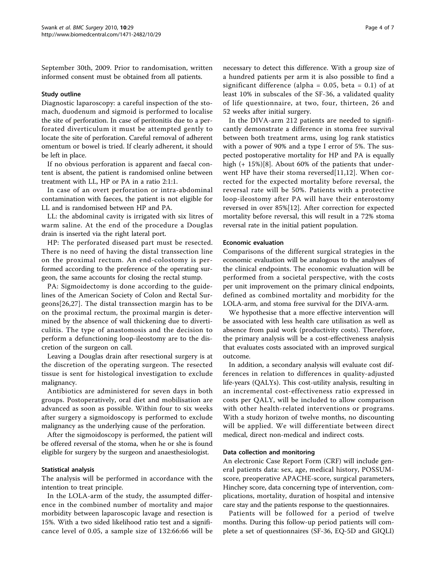September 30th, 2009. Prior to randomisation, written informed consent must be obtained from all patients.

## Study outline

Diagnostic laparoscopy: a careful inspection of the stomach, duodenum and sigmoid is performed to localise the site of perforation. In case of peritonitis due to a perforated diverticulum it must be attempted gently to locate the site of perforation. Careful removal of adherent omentum or bowel is tried. If clearly adherent, it should be left in place.

If no obvious perforation is apparent and faecal content is absent, the patient is randomised online between treatment with LL, HP or PA in a ratio 2:1:1.

In case of an overt perforation or intra-abdominal contamination with faeces, the patient is not eligible for LL and is randomised between HP and PA.

LL: the abdominal cavity is irrigated with six litres of warm saline. At the end of the procedure a Douglas drain is inserted via the right lateral port.

HP: The perforated diseased part must be resected. There is no need of having the distal transsection line on the proximal rectum. An end-colostomy is performed according to the preference of the operating surgeon, the same accounts for closing the rectal stump.

PA: Sigmoidectomy is done according to the guidelines of the American Society of Colon and Rectal Surgeons[\[26,27](#page-6-0)]. The distal transsection margin has to be on the proximal rectum, the proximal margin is determined by the absence of wall thickening due to diverticulitis. The type of anastomosis and the decision to perform a defunctioning loop-ileostomy are to the discretion of the surgeon on call.

Leaving a Douglas drain after resectional surgery is at the discretion of the operating surgeon. The resected tissue is sent for histological investigation to exclude malignancy.

Antibiotics are administered for seven days in both groups. Postoperatively, oral diet and mobilisation are advanced as soon as possible. Within four to six weeks after surgery a sigmoidoscopy is performed to exclude malignancy as the underlying cause of the perforation.

After the sigmoidoscopy is performed, the patient will be offered reversal of the stoma, when he or she is found eligible for surgery by the surgeon and anaesthesiologist.

#### Statistical analysis

The analysis will be performed in accordance with the intention to treat principle.

In the LOLA-arm of the study, the assumpted difference in the combined number of mortality and major morbidity between laparoscopic lavage and resection is 15%. With a two sided likelihood ratio test and a significance level of 0.05, a sample size of 132:66:66 will be necessary to detect this difference. With a group size of a hundred patients per arm it is also possible to find a significant difference (alpha =  $0.05$ , beta =  $0.1$ ) of at least 10% in subscales of the SF-36, a validated quality of life questionnaire, at two, four, thirteen, 26 and 52 weeks after initial surgery.

In the DIVA-arm 212 patients are needed to significantly demonstrate a difference in stoma free survival between both treatment arms, using log rank statistics with a power of 90% and a type I error of 5%. The suspected postoperative mortality for HP and PA is equally high (+ 15%)[\[8](#page-5-0)]. About 60% of the patients that underwent HP have their stoma reversed[[11](#page-5-0),[12\]](#page-5-0). When corrected for the expected mortality before reversal, the reversal rate will be 50%. Patients with a protective loop-ileostomy after PA will have their enterostomy reversed in over 85%[\[12](#page-5-0)]. After correction for expected mortality before reversal, this will result in a 72% stoma reversal rate in the initial patient population.

#### Economic evaluation

Comparisons of the different surgical strategies in the economic evaluation will be analogous to the analyses of the clinical endpoints. The economic evaluation will be performed from a societal perspective, with the costs per unit improvement on the primary clinical endpoints, defined as combined mortality and morbidity for the LOLA-arm, and stoma free survival for the DIVA-arm.

We hypothesise that a more effective intervention will be associated with less health care utilisation as well as absence from paid work (productivity costs). Therefore, the primary analysis will be a cost-effectiveness analysis that evaluates costs associated with an improved surgical outcome.

In addition, a secondary analysis will evaluate cost differences in relation to differences in quality-adjusted life-years (QALYs). This cost-utility analysis, resulting in an incremental cost-effectiveness ratio expressed in costs per QALY, will be included to allow comparison with other health-related interventions or programs. With a study horizon of twelve months, no discounting will be applied. We will differentiate between direct medical, direct non-medical and indirect costs.

## Data collection and monitoring

An electronic Case Report Form (CRF) will include general patients data: sex, age, medical history, POSSUMscore, preoperative APACHE-score, surgical parameters, Hinchey score, data concerning type of intervention, complications, mortality, duration of hospital and intensive care stay and the patients response to the questionnaires.

Patients will be followed for a period of twelve months. During this follow-up period patients will complete a set of questionnaires (SF-36, EQ-5D and GIQLI)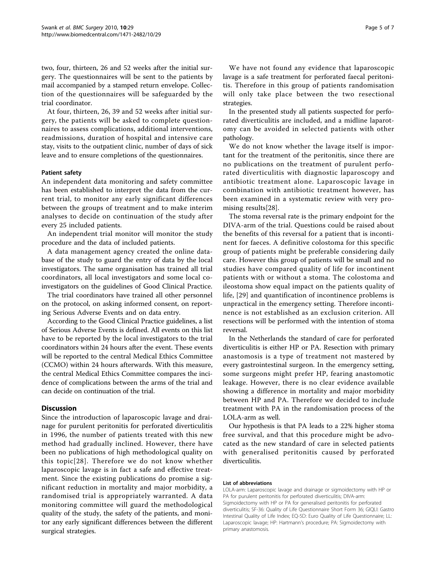two, four, thirteen, 26 and 52 weeks after the initial surgery. The questionnaires will be sent to the patients by mail accompanied by a stamped return envelope. Collection of the questionnaires will be safeguarded by the trial coordinator.

At four, thirteen, 26, 39 and 52 weeks after initial surgery, the patients will be asked to complete questionnaires to assess complications, additional interventions, readmissions, duration of hospital and intensive care stay, visits to the outpatient clinic, number of days of sick leave and to ensure completions of the questionnaires.

## Patient safety

An independent data monitoring and safety committee has been established to interpret the data from the current trial, to monitor any early significant differences between the groups of treatment and to make interim analyses to decide on continuation of the study after every 25 included patients.

An independent trial monitor will monitor the study procedure and the data of included patients.

A data management agency created the online database of the study to guard the entry of data by the local investigators. The same organisation has trained all trial coordinators, all local investigators and some local coinvestigators on the guidelines of Good Clinical Practice.

The trial coordinators have trained all other personnel on the protocol, on asking informed consent, on reporting Serious Adverse Events and on data entry.

According to the Good Clinical Practice guidelines, a list of Serious Adverse Events is defined. All events on this list have to be reported by the local investigators to the trial coordinators within 24 hours after the event. These events will be reported to the central Medical Ethics Committee (CCMO) within 24 hours afterwards. With this measure, the central Medical Ethics Committee compares the incidence of complications between the arms of the trial and can decide on continuation of the trial.

## **Discussion**

Since the introduction of laparoscopic lavage and drainage for purulent peritonitis for perforated diverticulitis in 1996, the number of patients treated with this new method had gradually inclined. However, there have been no publications of high methodological quality on this topic[[28\]](#page-6-0). Therefore we do not know whether laparoscopic lavage is in fact a safe and effective treatment. Since the existing publications do promise a significant reduction in mortality and major morbidity, a randomised trial is appropriately warranted. A data monitoring committee will guard the methodological quality of the study, the safety of the patients, and monitor any early significant differences between the different surgical strategies.

We have not found any evidence that laparoscopic lavage is a safe treatment for perforated faecal peritonitis. Therefore in this group of patients randomisation will only take place between the two resectional strategies.

In the presented study all patients suspected for perforated diverticulitis are included, and a midline laparotomy can be avoided in selected patients with other pathology.

We do not know whether the lavage itself is important for the treatment of the peritonitis, since there are no publications on the treatment of purulent perforated diverticulitis with diagnostic laparoscopy and antibiotic treatment alone. Laparoscopic lavage in combination with antibiotic treatment however, has been examined in a systematic review with very promising results[\[28](#page-6-0)].

The stoma reversal rate is the primary endpoint for the DIVA-arm of the trial. Questions could be raised about the benefits of this reversal for a patient that is incontinent for faeces. A definitive colostoma for this specific group of patients might be preferable considering daily care. However this group of patients will be small and no studies have compared quality of life for incontinent patients with or without a stoma. The colostoma and ileostoma show equal impact on the patients quality of life, [[29](#page-6-0)] and quantification of incontinence problems is unpractical in the emergency setting. Therefore incontinence is not established as an exclusion criterion. All resections will be performed with the intention of stoma reversal.

In the Netherlands the standard of care for perforated diverticulitis is either HP or PA. Resection with primary anastomosis is a type of treatment not mastered by every gastrointestinal surgeon. In the emergency setting, some surgeons might prefer HP, fearing anastomotic leakage. However, there is no clear evidence available showing a difference in mortality and major morbidity between HP and PA. Therefore we decided to include treatment with PA in the randomisation process of the LOLA-arm as well.

Our hypothesis is that PA leads to a 22% higher stoma free survival, and that this procedure might be advocated as the new standard of care in selected patients with generalised peritonitis caused by perforated diverticulitis.

#### List of abbreviations

LOLA-arm: Laparoscopic lavage and drainage or sigmoidectomy with HP or PA for purulent peritonitis for perforated diverticulitis; DIVA-arm: Sigmoidectomy with HP or PA for generalised peritonitis for perforated diverticulitis; SF-36: Quality of Life Questionnaire Short Form 36; GIQLI: Gastro Intestinal Quality of Life Index; EQ-5D: Euro Quality of Life Questionnaire; LL: Laparoscopic lavage; HP: Hartmann's procedure; PA: Sigmoidectomy with primary anastomosis.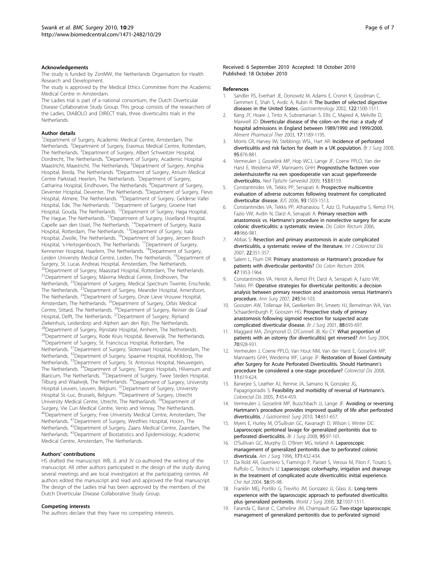#### <span id="page-5-0"></span>Acknowledgements

The study is funded by ZonMW, the Netherlands Organisation for Health Research and Development.

The study is approved by the Medical Ethics Committee from the Academic Medical Centre in Amsterdam.

The Ladies trial is part of a national consortium, the Dutch Diverticular Disease Collaborative Study Group. This group consists of the researchers of the Ladies, DIABOLO and DIRECT trials, three diverticulitis trials in the Netherlands.

#### Author details

<sup>1</sup>Department of Surgery, Academic Medical Centre, Amsterdam, The Netherlands. <sup>2</sup>Department of Surgery, Erasmus Medical Centre, Rotterdam, The Netherlands. <sup>3</sup>Department of Surgery, Albert Schweitzer Hospital, Dordrecht, The Netherlands. <sup>4</sup>Department of Surgery, Academic Hospital Maastricht, Maastricht, The Netherlands. <sup>5</sup>Department of Surgery, Amphia Hospital, Breda, The Netherlands. <sup>6</sup>Department of Surgery, Atrium Medical Centre Parkstad, Heerlen, The Netherlands. <sup>7</sup>Department of Surgery, Catharina Hospital, Eindhoven, The Netherlands. <sup>8</sup>Department of Surgery, Deventer Hospital, Deventer, The Netherlands. <sup>9</sup>Department of Surgery, Flevo Hospital, Almere, The Netherlands. <sup>10</sup>Department of Surgery, Gelderse Vallei Hospital, Ede, The Netherlands. <sup>11</sup> Department of Surgery, Groene Hart Hospital, Gouda, The Netherlands. <sup>12</sup>Department of Surgery, Haga Hospital, The Hague, The Netherlands. <sup>13</sup>Department of Surgery, IJsselland Hospital, Capelle aan den IJssel, The Netherlands. 14Department of Surgery, Ikazia Hospital, Rotterdam, The Netherlands. <sup>15</sup>Department of Surgery, Isala Hospital, Zwolle, The Netherlands. <sup>16</sup>Department of Surgery, Jeroen Bosch Hospital, 's-Hertogenbosch, The Netherlands.<sup>17</sup>Department of Surgery, Kennemer Hospital, Haarlem, The Netherlands. 18Department of Surgery, Leiden University Medical Centre, Leiden, The Netherlands. <sup>19</sup>Department of Surgery, St. Lucas Andreas Hospital, Amsterdam, The Netherlands. <sup>0</sup>Department of Surgery, Maasstad Hospital, Rotterdam, The Netherlands. 21Department of Surgery, Máxima Medical Centre, Eindhoven, The Netherlands. 22Department of Surgery, Medical Spectrum Twente, Enschede, The Netherlands. <sup>23</sup>Department of Surgery, Meander Hospital, Amersfoort, The Netherlands. <sup>24</sup>Department of Surgery, Onze Lieve Vrouwe Hospital, Amsterdam, The Netherlands. 25Department of Surgery, Orbis Medical Centre, Sittard, The Netherlands. <sup>26</sup>Department of Surgery, Reinier de Graaf Hospital, Delft, The Netherlands. <sup>27</sup>Department of Surgery, Rijnland Ziekenhuis, Leiderdorp and Alphen aan den Rijn, The Netherlands. <sup>28</sup>Department of Surgery, Rijnstate Hospital, Arnhem, The Netherlands. <sup>29</sup>Department of Surgery, Rode Kruis Hospital, Beverwijk, The Netherlands. <sup>30</sup>Department of Surgery, St. Franciscus Hospital, Rotterdam, The Netherlands. 31Department of Surgery, Slotervaart Hospital, Amsterdam, The Netherlands. 32Department of Surgery, Spaarne Hospital, Hoofddorp, The Netherlands. 33Department of Surgery, St. Antonius Hospital, Nieuwegein, The Netherlands. <sup>34</sup>Department of Surgery, Tergooi Hospitals, Hilversum and Blaricum, The Netherlands. 35Department of Surgery, Twee Steden Hospital, Tilburg and Waalwijk, The Netherlands. 36Department of Surgery, University Hospital Leuven, Leuven, Belgium. <sup>37</sup>Department of Surgery, University Hospital St.-Luc, Brussels, Belgium. 38Department of Surgery, Utrecht University Medical Centre, Utrecht, The Netherlands. 39Department of Surgery, Vie Curi Medical Centre, Venlo and Venray, The Netherlands. <sup>40</sup>Department of Surgery, Free University Medical Centre, Amsterdam, The Netherlands. 41Department of Surgery, Westfries Hospital, Hoorn, The Netherlands. 42Department of Surgery, Zaans Medical Centre, Zaandam, The Netherlands. 43Department of Biostatistics and Epidemiology, Academic Medical Centre, Amsterdam, The Netherlands.

#### Authors' contributions

HS drafted the manuscript. WB, JL and JV co-authored the writing of the manuscript. All other authors participated in the design of the study during several meetings and are local investigators at the participating centres. All authors edited the manuscript and read and approved the final manuscript. The design of the Ladies trial has been approved by the members of the Dutch Diverticular Disease Collaborative Study Group.

#### Competing interests

The authors declare that they have no competing interests.

#### Received: 6 September 2010 Accepted: 18 October 2010 Published: 18 October 2010

#### References

- 1. Sandler RS, Everhart JE, Donowitz M, Adams E, Cronin K, Goodman C, Gemmen E, Shah S, Avdic A, Rubin R: [The burden of selected digestive](http://www.ncbi.nlm.nih.gov/pubmed/11984534?dopt=Abstract) [diseases in the United States.](http://www.ncbi.nlm.nih.gov/pubmed/11984534?dopt=Abstract) Gastroenterology 2002, 122:1500-1511.
- 2. Kang JY, Hoare J, Tinto A, Subramanian S, Ellis C, Majeed A, Melville D, Maxwell JD: [Diverticular disease of the colon](http://www.ncbi.nlm.nih.gov/pubmed/12752356?dopt=Abstract)–on the rise: a study of [hospital admissions in England between 1989/1990 and 1999/2000.](http://www.ncbi.nlm.nih.gov/pubmed/12752356?dopt=Abstract) Aliment Pharmacol Ther 2003, 17:1189-1195.
- 3. Morris CR, Harvey IM, Stebbings WSL, Hart AR: [Incidence of perforated](http://www.ncbi.nlm.nih.gov/pubmed/18509877?dopt=Abstract) [diverticulitis and risk factors for death in a UK population.](http://www.ncbi.nlm.nih.gov/pubmed/18509877?dopt=Abstract) Br J Surg 2008, 95:876-881.
- 4. Vermeulen J, Gosselink MP, Hop WCJ, Lange JF, Coene PPLO, Van der Harst E, Weidema WF, Mannaerts GHH: Prognostische factoren voor ziekenhuissterfte na een spoedoperatie van acuut geperforeerde diverticulitis. Ned Tijdschr Geneeskd 2009, 153:B159.
- 5. Constantinides VA, Tekkis PP, Senapati A: Prospective multicentre evaluation of adverse outcomes following treatment for complicated diverticultar disease. BJS 2006, 93:1503-1513.
- 6. Constantinides VA, Tekkis PP, Athanasiou T, Aziz O, Purkayastha S, Remzi FH, Fazio VW, Avdin N, Darzi A, Senapati A: [Primary resection with](http://www.ncbi.nlm.nih.gov/pubmed/16752192?dopt=Abstract) anastomosis vs. Hartmann'[s procedure in nonelective surgery for acute](http://www.ncbi.nlm.nih.gov/pubmed/16752192?dopt=Abstract) [colonic diverticulitis: a systematic review.](http://www.ncbi.nlm.nih.gov/pubmed/16752192?dopt=Abstract) Dis Colon Rectum 2006, 49:966-981.
- 7. Abbas S: [Resection and primary anastomosis in acute complicated](http://www.ncbi.nlm.nih.gov/pubmed/16437211?dopt=Abstract) [diverticulitis, a systematic review of the literature.](http://www.ncbi.nlm.nih.gov/pubmed/16437211?dopt=Abstract) Int J Colorectal Dis 2007, 22:351-357.
- 8. Salem L, Flum DR: [Primary anastomosis or Hartmann](http://www.ncbi.nlm.nih.gov/pubmed/15622591?dopt=Abstract)'s procedure for [patients with diverticular peritonitis?](http://www.ncbi.nlm.nih.gov/pubmed/15622591?dopt=Abstract) Dis Colon Rectum 2004, 47:1953-1964.
- 9. Constantinides VA, Heriot A, Remzi FH, Darzi A, Senapati A, Fazio VW, Tekkis PP: [Operative strategies for diverticular peritonitis: a decision](http://www.ncbi.nlm.nih.gov/pubmed/17197971?dopt=Abstract) [analysis between primary resection and anastomosis versus Hartmann](http://www.ncbi.nlm.nih.gov/pubmed/17197971?dopt=Abstract)'s [procedure.](http://www.ncbi.nlm.nih.gov/pubmed/17197971?dopt=Abstract) Ann Surg 2007, 245:94-103.
- 10. Gooszen AW, Tollenaar RA, Geelkerken RH, Smeets HJ, Bemelman WA, Van Schaardenburgh P, Gooszen HG: [Prospective study of primary](http://www.ncbi.nlm.nih.gov/pubmed/11350443?dopt=Abstract) [anastomosis following sigmoid resection for suspected acute](http://www.ncbi.nlm.nih.gov/pubmed/11350443?dopt=Abstract) [complicated diverticular disease.](http://www.ncbi.nlm.nih.gov/pubmed/11350443?dopt=Abstract) Br J Surg 2001, 88:693-697.
- 11. Maggard MA, Zingmond D, O'Connell JB, Ko CY: [What proportion of](http://www.ncbi.nlm.nih.gov/pubmed/15529854?dopt=Abstract) [patients with an ostomy \(for diverticulitis\) get reversed?](http://www.ncbi.nlm.nih.gov/pubmed/15529854?dopt=Abstract) Am Surg 2004, 70:928-931.
- 12. Vermeulen J, Coene PPLO, Van Hout NM, Van der Harst E, Gosselink MP, Mannaerts GHH, Weidema WF, Lange JF: [Restoration of Bowel Continuity](http://www.ncbi.nlm.nih.gov/pubmed/18727727?dopt=Abstract) [after Surgery for Acute Perforated Diverticulitis. Should Hartmann](http://www.ncbi.nlm.nih.gov/pubmed/18727727?dopt=Abstract)'s [procedure be considered a one-stage procedure?](http://www.ncbi.nlm.nih.gov/pubmed/18727727?dopt=Abstract) Colorectal Dis 2008, 11:619-624.
- 13. Banerjee S, Leather AJ, Rennie JA, Samano N, Gonzalez JG, Papagrigoriadis S: [Feasibility and morbidity of reversal of Hartmann](http://www.ncbi.nlm.nih.gov/pubmed/16108881?dopt=Abstract)'s. Colorectal Dis 2005, 7:454-459.
- 14. Vermeulen J, Gosselink MP, Busschbach JJ, Lange JF: [Avoiding or reversing](http://www.ncbi.nlm.nih.gov/pubmed/20127201?dopt=Abstract) Hartmann'[s procedure provides improved quality of life after perforated](http://www.ncbi.nlm.nih.gov/pubmed/20127201?dopt=Abstract) [diverticulitis.](http://www.ncbi.nlm.nih.gov/pubmed/20127201?dopt=Abstract) J Gastrointest Surg 2010, 14:651-657.
- 15. Myers E, Hurley M, O'Sullivan GC, Kavanagh D, Wilson I, Winter DC: [Laparoscopic peritoneal lavage for generalized peritonitis due to](http://www.ncbi.nlm.nih.gov/pubmed/18076019?dopt=Abstract) [perforated diverticulitis.](http://www.ncbi.nlm.nih.gov/pubmed/18076019?dopt=Abstract) Br J Surg 2008, 95:97-101.
- 16. O'Sullivan GC, Murphy D, O'Brien MG, Ireland A: [Laparoscopic](http://www.ncbi.nlm.nih.gov/pubmed/8604837?dopt=Abstract) [management of generalized peritonitis due to perforated colonic](http://www.ncbi.nlm.nih.gov/pubmed/8604837?dopt=Abstract) [diverticula.](http://www.ncbi.nlm.nih.gov/pubmed/8604837?dopt=Abstract) Am J Surg 1996, 171:432-434.
- 17. Da Rold AR, Guerriero S, Fiamingo P, Pariset S, Veroux M, Pilon F, Tosato S, Ruffolo C, Tedeschi U: [Laparoscopic colorrhaphy, irrigation and drainage](http://www.ncbi.nlm.nih.gov/pubmed/15038653?dopt=Abstract) [in the treatment of complicated acute diverticulitis: initial experience.](http://www.ncbi.nlm.nih.gov/pubmed/15038653?dopt=Abstract) Chir Ital 2004, 56:95-98.
- 18. Franklin MEj, Portillo G, Treviño JM, Gonzalez JJ, Glass JL: [Long-term](http://www.ncbi.nlm.nih.gov/pubmed/18259803?dopt=Abstract) [experience with the laparoscopic approach to perforated diverticulitis](http://www.ncbi.nlm.nih.gov/pubmed/18259803?dopt=Abstract) [plus generalized peritonitis.](http://www.ncbi.nlm.nih.gov/pubmed/18259803?dopt=Abstract) World J Surg 2008, 32:1507-1511
- 19. Faranda C, Barrat C, Catheline JM, Champault GG: [Two-stage laparoscopic](http://www.ncbi.nlm.nih.gov/pubmed/10872974?dopt=Abstract) [management of generalized peritonitis due to perforated sigmoid](http://www.ncbi.nlm.nih.gov/pubmed/10872974?dopt=Abstract)